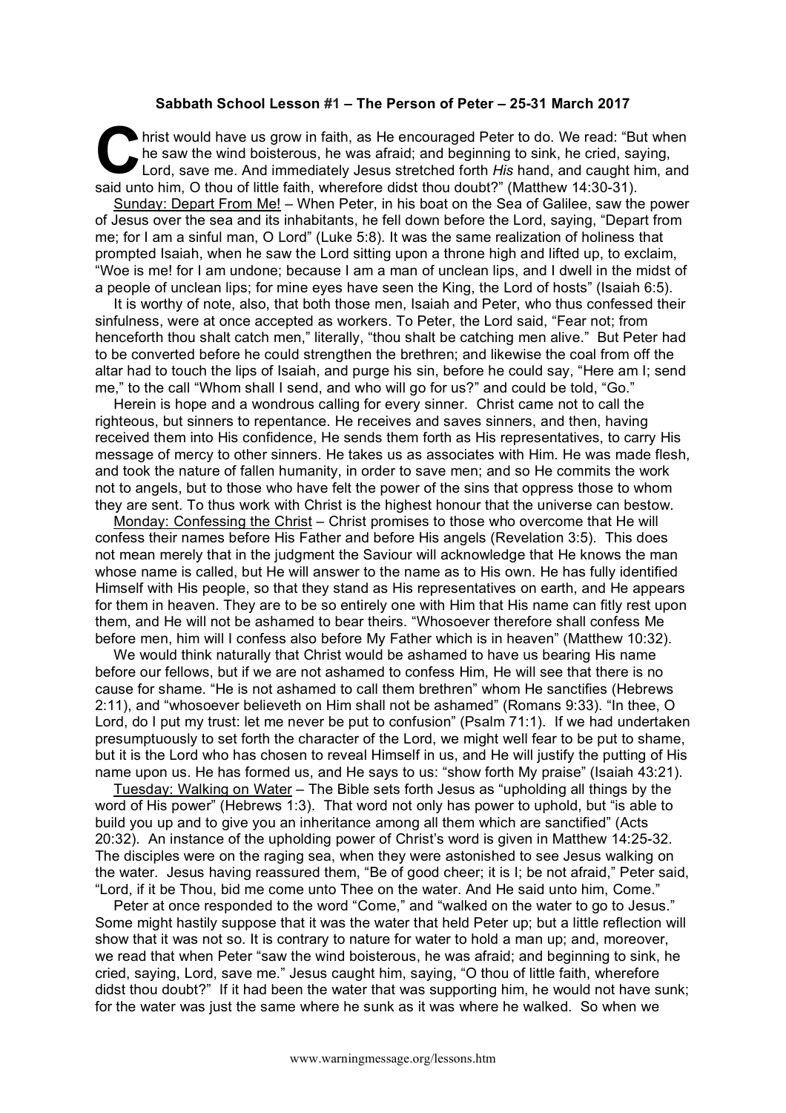## **Sabbath School Lesson #1 – The Person of Peter – 25-31 March 2017**

hrist would have us grow in faith, as He encouraged Peter to do. We read: "But when he saw the wind boisterous, he was afraid; and beginning to sink, he cried, saying, Lord, save me. And immediately Jesus stretched forth *His* hand, and caught him, and said unto him, O thou of little faith, wherefore didst thou doubt?" (Matthew 14:30-31). C hris

Sunday: Depart From Me! – When Peter, in his boat on the Sea of Galilee, saw the power of Jesus over the sea and its inhabitants, he fell down before the Lord, saying, "Depart from me; for I am a sinful man, O Lord" (Luke 5:8). It was the same realization of holiness that prompted Isaiah, when he saw the Lord sitting upon a throne high and lifted up, to exclaim, "Woe is me! for I am undone; because I am a man of unclean lips, and I dwell in the midst of a people of unclean lips; for mine eyes have seen the King, the Lord of hosts" (Isaiah 6:5).

It is worthy of note, also, that both those men, Isaiah and Peter, who thus confessed their sinfulness, were at once accepted as workers. To Peter, the Lord said, "Fear not; from henceforth thou shalt catch men," literally, "thou shalt be catching men alive." But Peter had to be converted before he could strengthen the brethren; and likewise the coal from off the altar had to touch the lips of Isaiah, and purge his sin, before he could say, "Here am I; send me," to the call "Whom shall I send, and who will go for us?" and could be told, "Go."

Herein is hope and a wondrous calling for every sinner. Christ came not to call the righteous, but sinners to repentance. He receives and saves sinners, and then, having received them into His confidence, He sends them forth as His representatives, to carry His message of mercy to other sinners. He takes us as associates with Him. He was made flesh, and took the nature of fallen humanity, in order to save men; and so He commits the work not to angels, but to those who have felt the power of the sins that oppress those to whom they are sent. To thus work with Christ is the highest honour that the universe can bestow.

Monday: Confessing the Christ – Christ promises to those who overcome that He will confess their names before His Father and before His angels (Revelation 3:5). This does not mean merely that in the judgment the Saviour will acknowledge that He knows the man whose name is called, but He will answer to the name as to His own. He has fully identified Himself with His people, so that they stand as His representatives on earth, and He appears for them in heaven. They are to be so entirely one with Him that His name can fitly rest upon them, and He will not be ashamed to bear theirs. "Whosoever therefore shall confess Me before men, him will I confess also before My Father which is in heaven" (Matthew 10:32).

We would think naturally that Christ would be ashamed to have us bearing His name before our fellows, but if we are not ashamed to confess Him, He will see that there is no cause for shame. "He is not ashamed to call them brethren" whom He sanctifies (Hebrews 2:11), and "whosoever believeth on Him shall not be ashamed" (Romans 9:33). "In thee, O Lord, do I put my trust: let me never be put to confusion" (Psalm 71:1). If we had undertaken presumptuously to set forth the character of the Lord, we might well fear to be put to shame, but it is the Lord who has chosen to reveal Himself in us, and He will justify the putting of His name upon us. He has formed us, and He says to us: "show forth My praise" (Isaiah 43:21).

Tuesday: Walking on Water – The Bible sets forth Jesus as "upholding all things by the word of His power" (Hebrews 1:3). That word not only has power to uphold, but "is able to build you up and to give you an inheritance among all them which are sanctified" (Acts 20:32). An instance of the upholding power of Christ's word is given in Matthew 14:25-32. The disciples were on the raging sea, when they were astonished to see Jesus walking on the water. Jesus having reassured them, "Be of good cheer; it is I; be not afraid," Peter said, "Lord, if it be Thou, bid me come unto Thee on the water. And He said unto him, Come."

Peter at once responded to the word "Come," and "walked on the water to go to Jesus." Some might hastily suppose that it was the water that held Peter up; but a little reflection will show that it was not so. It is contrary to nature for water to hold a man up; and, moreover, we read that when Peter "saw the wind boisterous, he was afraid; and beginning to sink, he cried, saying, Lord, save me." Jesus caught him, saying, "O thou of little faith, wherefore didst thou doubt?" If it had been the water that was supporting him, he would not have sunk; for the water was just the same where he sunk as it was where he walked. So when we